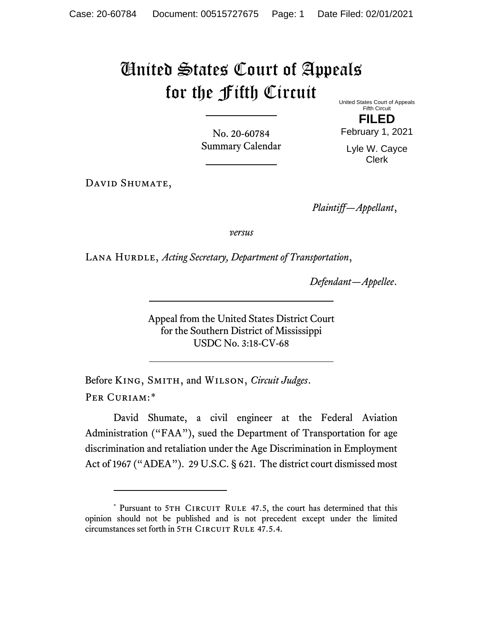## United States Court of Appeals for the Fifth Circuit

United States Court of Appeals Fifth Circuit

No. 20-60784 Summary Calendar

**FILED** February 1, 2021

Lyle W. Cayce Clerk

DAVID SHUMATE,

*Plaintiff—Appellant*,

*versus*

LANA HURDLE, *Acting Secretary, Department of Transportation*,

*Defendant—Appellee*.

Appeal from the United States District Court for the Southern District of Mississippi USDC No. 3:18-CV-68

Before King, Smith, and Wilson, *Circuit Judges*. Per Curiam:[\\*](#page-0-0)

David Shumate, a civil engineer at the Federal Aviation Administration ("FAA"), sued the Department of Transportation for age discrimination and retaliation under the Age Discrimination in Employment Act of 1967 ("ADEA"). 29 U.S.C. § 621. The district court dismissed most

<span id="page-0-0"></span><sup>\*</sup> Pursuant to 5TH CIRCUIT RULE 47.5, the court has determined that this opinion should not be published and is not precedent except under the limited circumstances set forth in 5TH CIRCUIT RULE 47.5.4.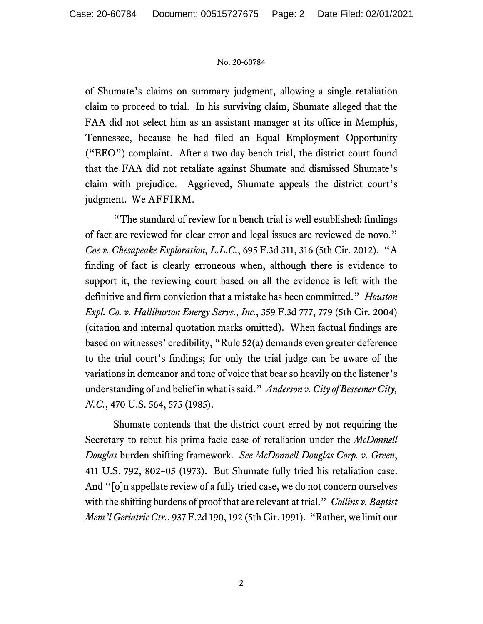## No. 20-60784

of Shumate's claims on summary judgment, allowing a single retaliation claim to proceed to trial. In his surviving claim, Shumate alleged that the FAA did not select him as an assistant manager at its office in Memphis, Tennessee, because he had filed an Equal Employment Opportunity ("EEO") complaint. After a two-day bench trial, the district court found that the FAA did not retaliate against Shumate and dismissed Shumate's claim with prejudice. Aggrieved, Shumate appeals the district court's judgment. We AFFIRM.

"The standard of review for a bench trial is well established: findings of fact are reviewed for clear error and legal issues are reviewed de novo." *Coe v. Chesapeake Exploration, L.L.C.*, 695 F.3d 311, 316 (5th Cir. 2012). "A finding of fact is clearly erroneous when, although there is evidence to support it, the reviewing court based on all the evidence is left with the definitive and firm conviction that a mistake has been committed." *Houston Expl. Co. v. Halliburton Energy Servs., Inc.*, 359 F.3d 777, 779 (5th Cir. 2004) (citation and internal quotation marks omitted). When factual findings are based on witnesses' credibility, "Rule 52(a) demands even greater deference to the trial court's findings; for only the trial judge can be aware of the variations in demeanor and tone of voice that bear so heavily on the listener's understanding of and belief in what is said." *Anderson v.City of BessemerCity, N.C.*, 470 U.S. 564, 575 (1985).

Shumate contends that the district court erred by not requiring the Secretary to rebut his prima facie case of retaliation under the *McDonnell Douglas* burden-shifting framework. *See McDonnell Douglas Corp. v. Green*, 411 U.S. 792, 802–05 (1973). But Shumate fully tried his retaliation case. And "[o]n appellate review of a fully tried case, we do not concern ourselves with the shifting burdens of proof that are relevant at trial." *Collins v. Baptist Mem'l Geriatric Ctr.*, 937 F.2d 190, 192 (5th Cir. 1991). "Rather, we limit our